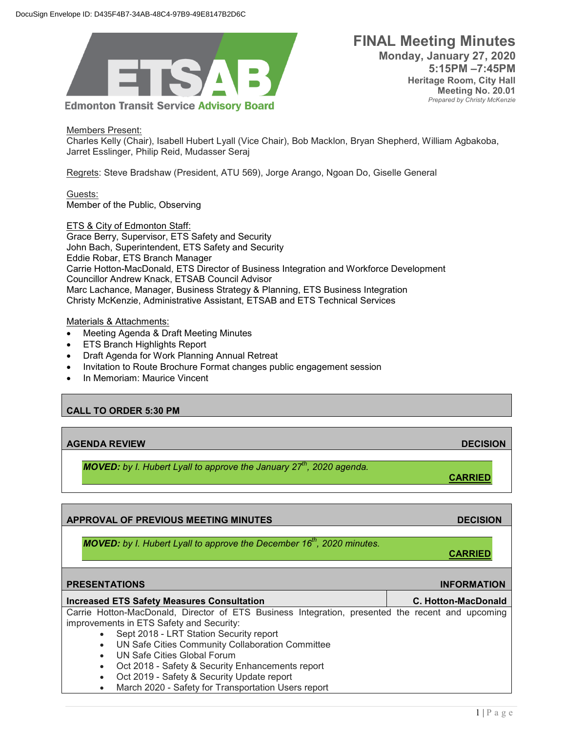

 **FINAL Meeting Minutes Monday, January 27, 2020 5:15PM –7:45PM Heritage Room, City Hall Meeting No. 20.01** *Prepared by Christy McKenzie*

Members Present: Charles Kelly (Chair), Isabell Hubert Lyall (Vice Chair), Bob Macklon, Bryan Shepherd, William Agbakoba, Jarret Esslinger, Philip Reid, Mudasser Seraj

Regrets: Steve Bradshaw (President, ATU 569), Jorge Arango, Ngoan Do, Giselle General

Guests: Member of the Public, Observing

ETS & City of Edmonton Staff: Grace Berry, Supervisor, ETS Safety and Security John Bach, Superintendent, ETS Safety and Security Eddie Robar, ETS Branch Manager Carrie Hotton-MacDonald, ETS Director of Business Integration and Workforce Development Councillor Andrew Knack, ETSAB Council Advisor Marc Lachance, Manager, Business Strategy & Planning, ETS Business Integration Christy McKenzie, Administrative Assistant, ETSAB and ETS Technical Services

Materials & Attachments:

- Meeting Agenda & Draft Meeting Minutes
- ETS Branch Highlights Report
- Draft Agenda for Work Planning Annual Retreat
- Invitation to Route Brochure Format changes public engagement session
- In Memoriam: Maurice Vincent

## **CALL TO ORDER 5:30 PM**

| <b>AGENDA REVIEW</b>                                                          | <b>DECISION</b> |
|-------------------------------------------------------------------------------|-----------------|
| <b>MOVED:</b> by I. Hubert Lyall to approve the January $27th$ , 2020 agenda. | <b>CARRIED</b>  |

| <b>APPROVAL OF PREVIOUS MEETING MINUTES</b>                                                                                                                                                                                                                                                                                                                                                                                                   | <b>DECISION</b>            |
|-----------------------------------------------------------------------------------------------------------------------------------------------------------------------------------------------------------------------------------------------------------------------------------------------------------------------------------------------------------------------------------------------------------------------------------------------|----------------------------|
| <b>MOVED:</b> by I. Hubert Lyall to approve the December 16 <sup>th</sup> , 2020 minutes.                                                                                                                                                                                                                                                                                                                                                     | <b>CARRIED</b>             |
| <b>PRESENTATIONS</b>                                                                                                                                                                                                                                                                                                                                                                                                                          | <b>INFORMATION</b>         |
| <b>Increased ETS Safety Measures Consultation</b>                                                                                                                                                                                                                                                                                                                                                                                             | <b>C. Hotton-MacDonald</b> |
| Carrie Hotton-MacDonald, Director of ETS Business Integration, presented the recent and upcoming<br>improvements in ETS Safety and Security:<br>Sept 2018 - LRT Station Security report<br>$\bullet$<br>UN Safe Cities Community Collaboration Committee<br>$\bullet$<br>UN Safe Cities Global Forum<br>$\bullet$<br>Oct 2018 - Safety & Security Enhancements report<br>$\bullet$<br>Oct 2019 - Safety & Security Update report<br>$\bullet$ |                            |
| March 2020 - Safety for Transportation Users report<br>$\bullet$                                                                                                                                                                                                                                                                                                                                                                              |                            |

 $1 | P a g e$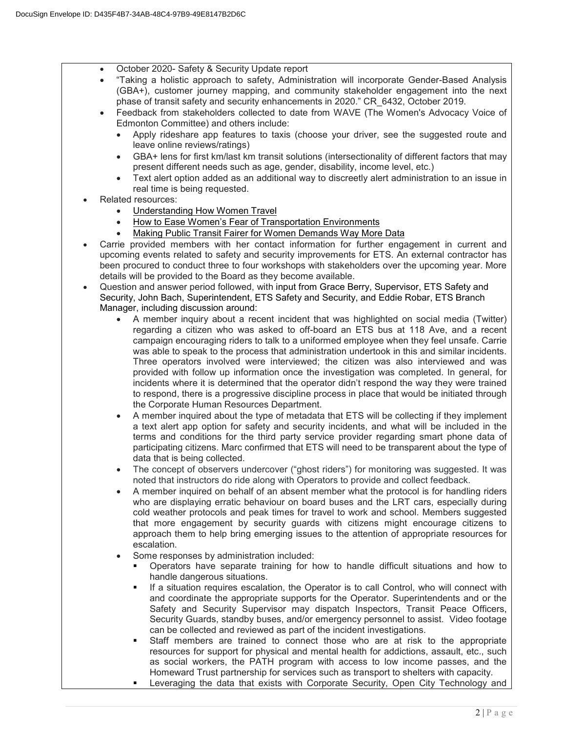- October 2020- Safety & Security Update report
	- "Taking a holistic approach to safety, Administration will incorporate Gender-Based Analysis (GBA+), customer journey mapping, and community stakeholder engagement into the next phase of transit safety and security enhancements in 2020." CR\_6432, October 2019.
	- Feedback from stakeholders collected to date from WAVE (The Women's Advocacy Voice of Edmonton Committee) and others include:
		- Apply rideshare app features to taxis (choose your driver, see the suggested route and leave online reviews/ratings)
		- GBA+ lens for first km/last km transit solutions (intersectionality of different factors that may present different needs such as age, gender, disability, income level, etc.)
		- Text alert option added as an additional way to discreetly alert administration to an issue in real time is being requested.
- Related resources:
	- [Understanding How Women Travel](http://libraryarchives.metro.net/DB_Attachments/2019-0294/UnderstandingHowWomenTravel_FullReport_FINAL.pdf)
	- [How to Ease Women's Fear of Transportation Environments](https://transweb.sjsu.edu/sites/default/files/2611-women-transportation.pdf)
	- Making Public [Transit Fairer for Women Demands Way More Data](https://www.wired.com/story/making-public-transit-fairer-to-women-demands-data/)
- Carrie provided members with her contact information for further engagement in current and upcoming events related to safety and security improvements for ETS. An external contractor has been procured to conduct three to four workshops with stakeholders over the upcoming year. More details will be provided to the Board as they become available.
- Question and answer period followed, with input from Grace Berry, Supervisor, ETS Safety and Security, John Bach, Superintendent, ETS Safety and Security, and Eddie Robar, ETS Branch Manager, including discussion around:
	- A member inquiry about a recent incident that was highlighted on social media (Twitter) regarding a citizen who was asked to off-board an ETS bus at 118 Ave, and a recent campaign encouraging riders to talk to a uniformed employee when they feel unsafe. Carrie was able to speak to the process that administration undertook in this and similar incidents. Three operators involved were interviewed; the citizen was also interviewed and was provided with follow up information once the investigation was completed. In general, for incidents where it is determined that the operator didn't respond the way they were trained to respond, there is a progressive discipline process in place that would be initiated through the Corporate Human Resources Department.
	- A member inquired about the type of metadata that ETS will be collecting if they implement a text alert app option for safety and security incidents, and what will be included in the terms and conditions for the third party service provider regarding smart phone data of participating citizens. Marc confirmed that ETS will need to be transparent about the type of data that is being collected.
	- The concept of observers undercover ("ghost riders") for monitoring was suggested. It was noted that instructors do ride along with Operators to provide and collect feedback.
	- A member inquired on behalf of an absent member what the protocol is for handling riders who are displaying erratic behaviour on board buses and the LRT cars, especially during cold weather protocols and peak times for travel to work and school. Members suggested that more engagement by security guards with citizens might encourage citizens to approach them to help bring emerging issues to the attention of appropriate resources for escalation.
	- Some responses by administration included:
		- Operators have separate training for how to handle difficult situations and how to handle dangerous situations.
		- If a situation requires escalation, the Operator is to call Control, who will connect with and coordinate the appropriate supports for the Operator. Superintendents and or the Safety and Security Supervisor may dispatch Inspectors, Transit Peace Officers, Security Guards, standby buses, and/or emergency personnel to assist. Video footage can be collected and reviewed as part of the incident investigations.
		- Staff members are trained to connect those who are at risk to the appropriate resources for support for physical and mental health for addictions, assault, etc., such as social workers, the PATH program with access to low income passes, and the Homeward Trust partnership for services such as transport to shelters with capacity.
		- Leveraging the data that exists with Corporate Security, Open City Technology and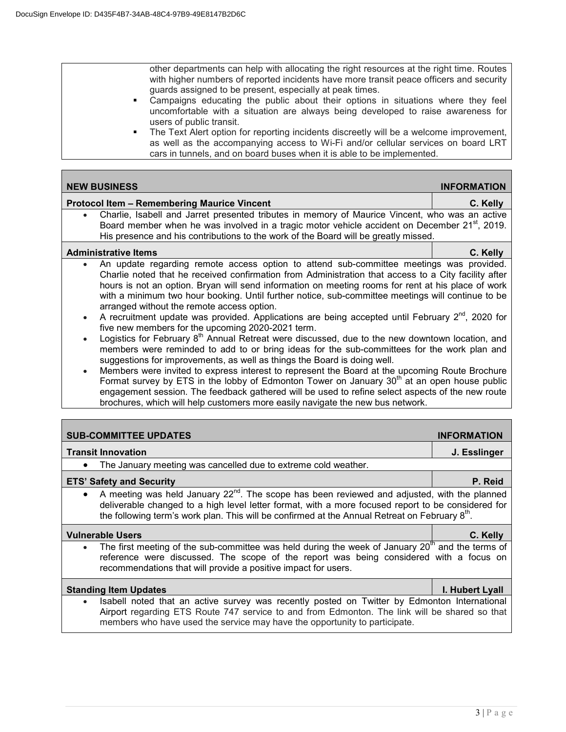other departments can help with allocating the right resources at the right time. Routes with higher numbers of reported incidents have more transit peace officers and security guards assigned to be present, especially at peak times.

- Campaigns educating the public about their options in situations where they feel uncomfortable with a situation are always being developed to raise awareness for users of public transit.
- **The Text Alert option for reporting incidents discreetly will be a welcome improvement,** as well as the accompanying access to Wi-Fi and/or cellular services on board LRT cars in tunnels, and on board buses when it is able to be implemented.

| <b>NEW BUSINESS</b>                                                                                                                                                                                                                                                                                                                                                                                                                                                                                                                                                                                                                                                                                                                                                                                                                                                                                                                                                                                                                                                                                                                                                                                                                                                                                                                                        | <b>INFORMATION</b> |  |
|------------------------------------------------------------------------------------------------------------------------------------------------------------------------------------------------------------------------------------------------------------------------------------------------------------------------------------------------------------------------------------------------------------------------------------------------------------------------------------------------------------------------------------------------------------------------------------------------------------------------------------------------------------------------------------------------------------------------------------------------------------------------------------------------------------------------------------------------------------------------------------------------------------------------------------------------------------------------------------------------------------------------------------------------------------------------------------------------------------------------------------------------------------------------------------------------------------------------------------------------------------------------------------------------------------------------------------------------------------|--------------------|--|
| <b>Protocol Item - Remembering Maurice Vincent</b>                                                                                                                                                                                                                                                                                                                                                                                                                                                                                                                                                                                                                                                                                                                                                                                                                                                                                                                                                                                                                                                                                                                                                                                                                                                                                                         | C. Kelly           |  |
| Charlie, Isabell and Jarret presented tributes in memory of Maurice Vincent, who was an active<br>Board member when he was involved in a tragic motor vehicle accident on December 21 <sup>st</sup> , 2019.<br>His presence and his contributions to the work of the Board will be greatly missed.                                                                                                                                                                                                                                                                                                                                                                                                                                                                                                                                                                                                                                                                                                                                                                                                                                                                                                                                                                                                                                                         |                    |  |
| <b>Administrative Items</b>                                                                                                                                                                                                                                                                                                                                                                                                                                                                                                                                                                                                                                                                                                                                                                                                                                                                                                                                                                                                                                                                                                                                                                                                                                                                                                                                | C. Kelly           |  |
| An update regarding remote access option to attend sub-committee meetings was provided.<br>Charlie noted that he received confirmation from Administration that access to a City facility after<br>hours is not an option. Bryan will send information on meeting rooms for rent at his place of work<br>with a minimum two hour booking. Until further notice, sub-committee meetings will continue to be<br>arranged without the remote access option.<br>A recruitment update was provided. Applications are being accepted until February $2^{nd}$ , 2020 for<br>$\bullet$<br>five new members for the upcoming 2020-2021 term.<br>Logistics for February 8 <sup>th</sup> Annual Retreat were discussed, due to the new downtown location, and<br>$\bullet$<br>members were reminded to add to or bring ideas for the sub-committees for the work plan and<br>suggestions for improvements, as well as things the Board is doing well.<br>Members were invited to express interest to represent the Board at the upcoming Route Brochure<br>$\bullet$<br>Format survey by ETS in the lobby of Edmonton Tower on January 30 <sup>th</sup> at an open house public<br>engagement session. The feedback gathered will be used to refine select aspects of the new route<br>brochures, which will help customers more easily navigate the new bus network. |                    |  |
| <b>SUB-COMMITTEE UPDATES</b>                                                                                                                                                                                                                                                                                                                                                                                                                                                                                                                                                                                                                                                                                                                                                                                                                                                                                                                                                                                                                                                                                                                                                                                                                                                                                                                               | <b>INFORMATION</b> |  |
| <b>Transit Innovation</b>                                                                                                                                                                                                                                                                                                                                                                                                                                                                                                                                                                                                                                                                                                                                                                                                                                                                                                                                                                                                                                                                                                                                                                                                                                                                                                                                  | J. Esslinger       |  |
| The January meeting was cancelled due to extreme cold weather.                                                                                                                                                                                                                                                                                                                                                                                                                                                                                                                                                                                                                                                                                                                                                                                                                                                                                                                                                                                                                                                                                                                                                                                                                                                                                             |                    |  |
| <b>ETS' Safety and Security</b>                                                                                                                                                                                                                                                                                                                                                                                                                                                                                                                                                                                                                                                                                                                                                                                                                                                                                                                                                                                                                                                                                                                                                                                                                                                                                                                            | P. Reid            |  |
| A meeting was held January 22 <sup>nd</sup> . The scope has been reviewed and adjusted, with the planned<br>$\bullet$<br>deliverable changed to a high level letter format, with a more focused report to be considered for<br>the following term's work plan. This will be confirmed at the Annual Retreat on February 8th.                                                                                                                                                                                                                                                                                                                                                                                                                                                                                                                                                                                                                                                                                                                                                                                                                                                                                                                                                                                                                               |                    |  |
| <b>Vulnerable Users</b>                                                                                                                                                                                                                                                                                                                                                                                                                                                                                                                                                                                                                                                                                                                                                                                                                                                                                                                                                                                                                                                                                                                                                                                                                                                                                                                                    | C. Kelly           |  |
| The first meeting of the sub-committee was held during the week of January 20 <sup>th</sup> and the terms of<br>reference were discussed. The scope of the report was being considered with a focus on<br>recommendations that will provide a positive impact for users.                                                                                                                                                                                                                                                                                                                                                                                                                                                                                                                                                                                                                                                                                                                                                                                                                                                                                                                                                                                                                                                                                   |                    |  |
| <b>Standing Item Updates</b>                                                                                                                                                                                                                                                                                                                                                                                                                                                                                                                                                                                                                                                                                                                                                                                                                                                                                                                                                                                                                                                                                                                                                                                                                                                                                                                               | I. Hubert Lyall    |  |
| Isabell noted that an active survey was recently posted on Twitter by Edmonton International<br>Airport regarding ETS Route 747 service to and from Edmonton. The link will be shared so that<br>members who have used the service may have the opportunity to participate.                                                                                                                                                                                                                                                                                                                                                                                                                                                                                                                                                                                                                                                                                                                                                                                                                                                                                                                                                                                                                                                                                |                    |  |